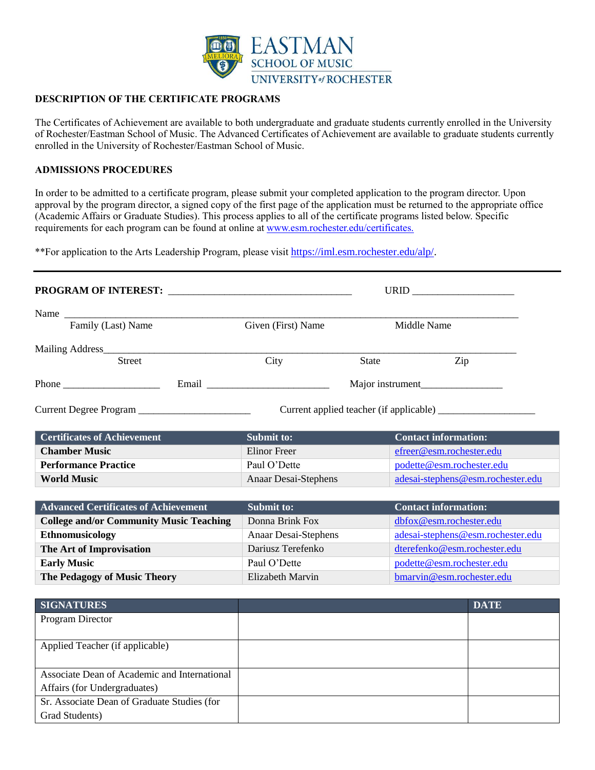

# **DESCRIPTION OF THE CERTIFICATE PROGRAMS**

The Certificates of Achievement are available to both undergraduate and graduate students currently enrolled in the University of Rochester/Eastman School of Music. The Advanced Certificates of Achievement are available to graduate students currently enrolled in the University of Rochester/Eastman School of Music.

# **ADMISSIONS PROCEDURES**

In order to be admitted to a certificate program, please submit your completed application to the program director. Upon approval by the program director, a signed copy of the first page of the application must be returned to the appropriate office (Academic Affairs or Graduate Studies). This process applies to all of the certificate programs listed below. Specific requirements for each program can be found at online at www.esm.rochester.edu/certificates.

\*\*For application to the Arts Leadership Program, please visit https://iml.esm.rochester.edu/alp/.

| <b>PROGRAM OF INTEREST:</b>                    | URID <b>Example</b>         |              |                                   |
|------------------------------------------------|-----------------------------|--------------|-----------------------------------|
| Name                                           |                             |              |                                   |
| Family (Last) Name                             | Given (First) Name          |              | Middle Name                       |
|                                                |                             |              |                                   |
| <b>Street</b>                                  | City                        | <b>State</b> | Zip                               |
|                                                |                             |              |                                   |
| Current Degree Program                         |                             |              |                                   |
| <b>Certificates of Achievement</b>             | Submit to:                  |              | <b>Contact information:</b>       |
| <b>Chamber Music</b>                           | <b>Elinor</b> Freer         |              | efreer@esm.rochester.edu          |
| <b>Performance Practice</b>                    | Paul O'Dette                |              | podette@esm.rochester.edu         |
| <b>World Music</b>                             | Anaar Desai-Stephens        |              | adesai-stephens@esm.rochester.edu |
| <b>Advanced Certificates of Achievement</b>    | <b>Submit to:</b>           |              | <b>Contact information:</b>       |
| <b>College and/or Community Music Teaching</b> | Donna Brink Fox             |              | dbfox@esm.rochester.edu           |
| <b>Ethnomusicology</b>                         | <b>Anaar Desai-Stephens</b> |              | adesai-stephens@esm.rochester.edu |
| The Art of Improvisation                       | Dariusz Terefenko           |              | dterefenko@esm.rochester.edu      |
| <b>Early Music</b>                             | Paul O'Dette                |              | podette@esm.rochester.edu         |
| <b>The Pedagogy of Music Theory</b>            | Elizabeth Marvin            |              | bmarvin@esm.rochester.edu         |
|                                                |                             |              |                                   |
| <b>SIGNATURES</b>                              |                             |              | <b>DATE</b>                       |
| Program Director                               |                             |              |                                   |
| Applied Teacher (if applicable)                |                             |              |                                   |
| Associate Dean of Academic and International   |                             |              |                                   |
| Affairs (for Undergraduates)                   |                             |              |                                   |
| Sr. Associate Dean of Graduate Studies (for    |                             |              |                                   |
| Grad Students)                                 |                             |              |                                   |
|                                                |                             |              |                                   |